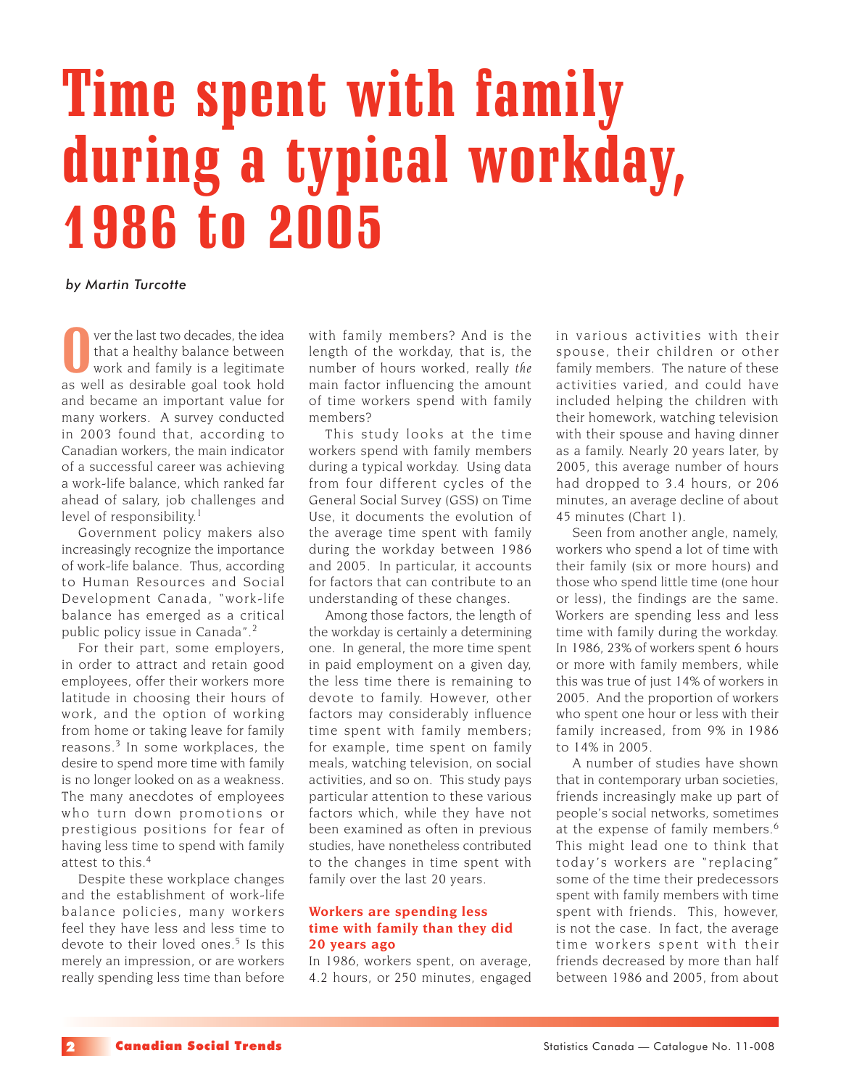# Time spent with family during a typical workday, 1986 to 2005

### *by Martin Turcotte*

O ver the last two decades, the idea<br>that a healthy balance between<br>work and family is a legitimate<br>as well as desirable goal took hold ver the last two decades, the idea that a healthy balance between work and family is a legitimate and became an important value for many workers. A survey conducted in 2003 found that, according to Canadian workers, the main indicator of a successful career was achieving a work-life balance, which ranked far ahead of salary, job challenges and level of responsibility.<sup>1</sup>

Government policy makers also increasingly recognize the importance of work-life balance. Thus, according to Human Resources and Social Development Canada, "work-life balance has emerged as a critical public policy issue in Canada".<sup>2</sup>

For their part, some employers, in order to attract and retain good employees, offer their workers more latitude in choosing their hours of work, and the option of working from home or taking leave for family reasons.3 In some workplaces, the desire to spend more time with family is no longer looked on as a weakness. The many anecdotes of employees who turn down promotions or prestigious positions for fear of having less time to spend with family attest to this.<sup>4</sup>

Despite these workplace changes and the establishment of work-life balance policies, many workers feel they have less and less time to devote to their loved ones.<sup>5</sup> Is this merely an impression, or are workers really spending less time than before with family members? And is the length of the workday, that is, the number of hours worked, really *the* main factor influencing the amount of time workers spend with family members?

This study looks at the time workers spend with family members during a typical workday. Using data from four different cycles of the General Social Survey (GSS) on Time Use, it documents the evolution of the average time spent with family during the workday between 1986 and 2005. In particular, it accounts for factors that can contribute to an understanding of these changes.

Among those factors, the length of the workday is certainly a determining one. In general, the more time spent in paid employment on a given day, the less time there is remaining to devote to family. However, other factors may considerably influence time spent with family members; for example, time spent on family meals, watching television, on social activities, and so on. This study pays particular attention to these various factors which, while they have not been examined as often in previous studies, have nonetheless contributed to the changes in time spent with family over the last 20 years.

## **Workers are spending less time with family than they did 20 years ago**

In 1986, workers spent, on average, 4.2 hours, or 250 minutes, engaged in various activities with their spouse, their children or other family members. The nature of these activities varied, and could have included helping the children with their homework, watching television with their spouse and having dinner as a family. Nearly 20 years later, by 2005, this average number of hours had dropped to 3.4 hours, or 206 minutes, an average decline of about 45 minutes (Chart 1).

Seen from another angle, namely, workers who spend a lot of time with their family (six or more hours) and those who spend little time (one hour or less), the findings are the same. Workers are spending less and less time with family during the workday. In 1986, 23% of workers spent 6 hours or more with family members, while this was true of just 14% of workers in 2005. And the proportion of workers who spent one hour or less with their family increased, from 9% in 1986 to 14% in 2005.

A number of studies have shown that in contemporary urban societies, friends increasingly make up part of people's social networks, sometimes at the expense of family members.<sup>6</sup> This might lead one to think that today 's workers are "replacing" some of the time their predecessors spent with family members with time spent with friends. This, however, is not the case. In fact, the average time workers spent with their friends decreased by more than half between 1986 and 2005, from about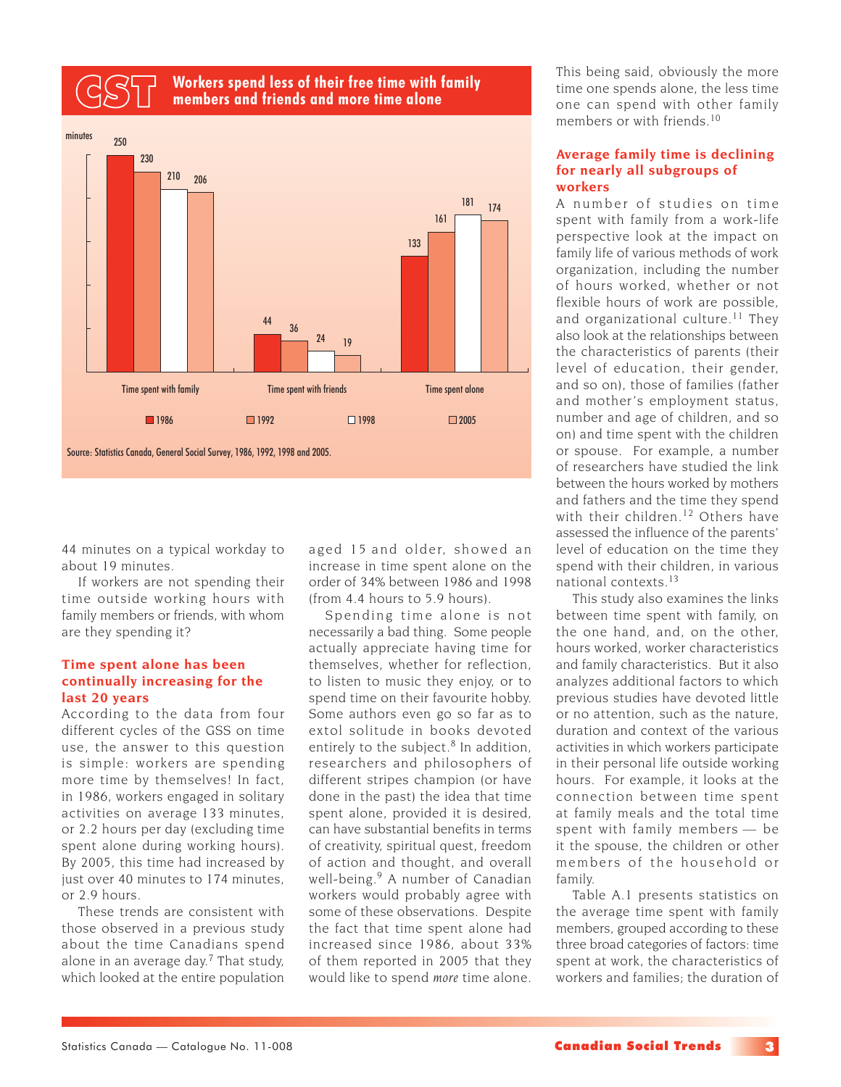# **Workers spend less of their free time with family** CST **members and friends and more time alone**



44 minutes on a typical workday to about 19 minutes.

If workers are not spending their time outside working hours with family members or friends, with whom are they spending it?

### **Time spent alone has been continually increasing for the last 20 years**

According to the data from four different cycles of the GSS on time use, the answer to this question is simple: workers are spending more time by themselves! In fact, in 1986, workers engaged in solitary activities on average 133 minutes, or 2.2 hours per day (excluding time spent alone during working hours). By 2005, this time had increased by just over 40 minutes to 174 minutes. or 2.9 hours.

These trends are consistent with those observed in a previous study about the time Canadians spend alone in an average day.<sup>7</sup> That study, which looked at the entire population aged 15 and older, showed an increase in time spent alone on the order of 34% between 1986 and 1998 (from 4.4 hours to 5.9 hours).

Spending time alone is not necessarily a bad thing. Some people actually appreciate having time for themselves, whether for reflection, to listen to music they enjoy, or to spend time on their favourite hobby. Some authors even go so far as to extol solitude in books devoted entirely to the subject.<sup>8</sup> In addition, researchers and philosophers of different stripes champion (or have done in the past) the idea that time spent alone, provided it is desired, can have substantial benefits in terms of creativity, spiritual quest, freedom of action and thought, and overall well-being.<sup>9</sup> A number of Canadian workers would probably agree with some of these observations. Despite the fact that time spent alone had increased since 1986, about 33% of them reported in 2005 that they would like to spend *more* time alone.

This being said, obviously the more time one spends alone, the less time one can spend with other family members or with friends<sup>10</sup>

### **Average family time is declining for nearly all subgroups of workers**

A number of studies on time spent with family from a work-life perspective look at the impact on family life of various methods of work organization, including the number of hours worked, whether or not flexible hours of work are possible, and organizational culture.<sup>11</sup> They also look at the relationships between the characteristics of parents (their level of education, their gender, and so on), those of families (father and mother's employment status, number and age of children, and so on) and time spent with the children or spouse. For example, a number of researchers have studied the link between the hours worked by mothers and fathers and the time they spend with their children.<sup>12</sup> Others have assessed the influence of the parents' level of education on the time they spend with their children, in various national contexts.<sup>13</sup>

This study also examines the links between time spent with family, on the one hand, and, on the other, hours worked, worker characteristics and family characteristics. But it also analyzes additional factors to which previous studies have devoted little or no attention, such as the nature, duration and context of the various activities in which workers participate in their personal life outside working hours. For example, it looks at the connection between time spent at family meals and the total time spent with family members — be it the spouse, the children or other members of the household or family.

Table A.1 presents statistics on the average time spent with family members, grouped according to these three broad categories of factors: time spent at work, the characteristics of workers and families; the duration of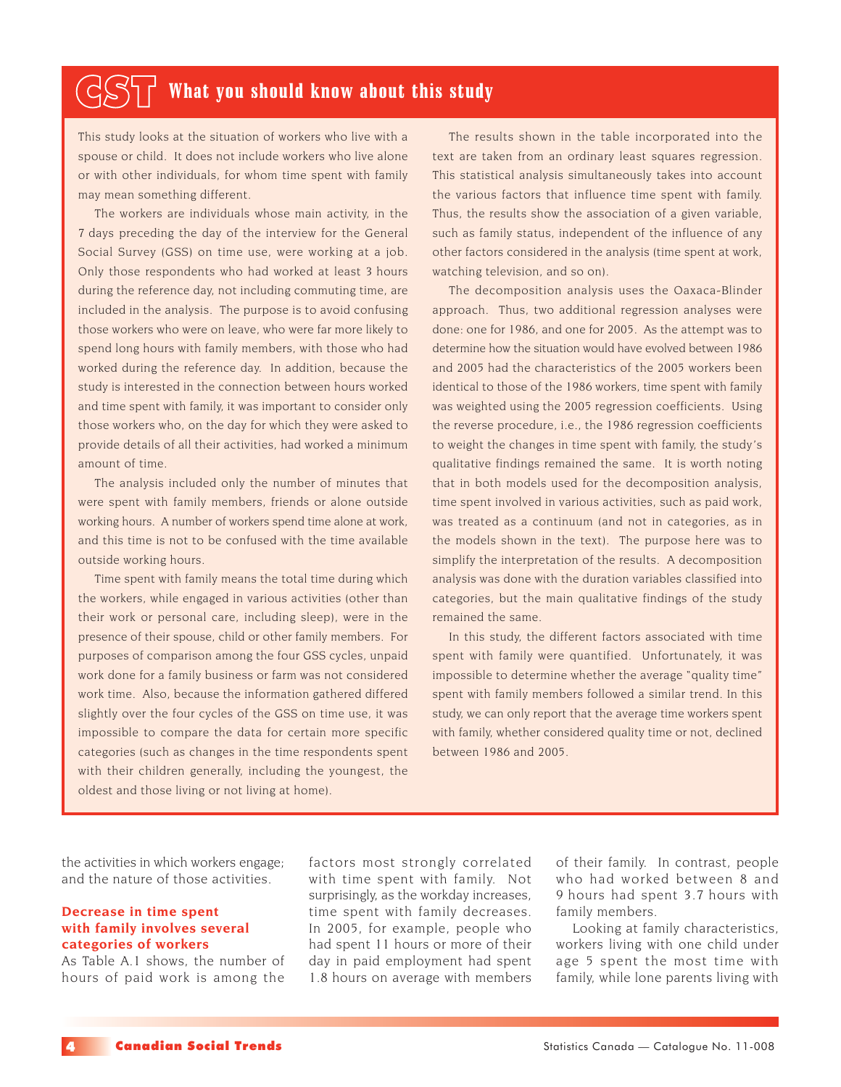# $\mathcal{L}(\leq\leq)$   $\mathcal{L}$  What you should know about this study

This study looks at the situation of workers who live with a spouse or child. It does not include workers who live alone or with other individuals, for whom time spent with family may mean something different.

The workers are individuals whose main activity, in the 7 days preceding the day of the interview for the General Social Survey (GSS) on time use, were working at a job. Only those respondents who had worked at least 3 hours during the reference day, not including commuting time, are included in the analysis. The purpose is to avoid confusing those workers who were on leave, who were far more likely to spend long hours with family members, with those who had worked during the reference day. In addition, because the study is interested in the connection between hours worked and time spent with family, it was important to consider only those workers who, on the day for which they were asked to provide details of all their activities, had worked a minimum amount of time.

The analysis included only the number of minutes that were spent with family members, friends or alone outside working hours. A number of workers spend time alone at work, and this time is not to be confused with the time available outside working hours.

Time spent with family means the total time during which the workers, while engaged in various activities (other than their work or personal care, including sleep), were in the presence of their spouse, child or other family members. For purposes of comparison among the four GSS cycles, unpaid work done for a family business or farm was not considered work time. Also, because the information gathered differed slightly over the four cycles of the GSS on time use, it was impossible to compare the data for certain more specific categories (such as changes in the time respondents spent with their children generally, including the youngest, the oldest and those living or not living at home).

The results shown in the table incorporated into the text are taken from an ordinary least squares regression. This statistical analysis simultaneously takes into account the various factors that influence time spent with family. Thus, the results show the association of a given variable, such as family status, independent of the influence of any other factors considered in the analysis (time spent at work, watching television, and so on).

The decomposition analysis uses the Oaxaca-Blinder approach. Thus, two additional regression analyses were done: one for 1986, and one for 2005. As the attempt was to determine how the situation would have evolved between 1986 and 2005 had the characteristics of the 2005 workers been identical to those of the 1986 workers, time spent with family was weighted using the 2005 regression coefficients. Using the reverse procedure, i.e., the 1986 regression coefficients to weight the changes in time spent with family, the study's qualitative findings remained the same. It is worth noting that in both models used for the decomposition analysis, time spent involved in various activities, such as paid work, was treated as a continuum (and not in categories, as in the models shown in the text). The purpose here was to simplify the interpretation of the results. A decomposition analysis was done with the duration variables classified into categories, but the main qualitative findings of the study remained the same.

In this study, the different factors associated with time spent with family were quantified. Unfortunately, it was impossible to determine whether the average "quality time" spent with family members followed a similar trend. In this study, we can only report that the average time workers spent with family, whether considered quality time or not, declined between 1986 and 2005.

the activities in which workers engage; and the nature of those activities.

### **Decrease in time spent with family involves several categories of workers**

As Table A.1 shows, the number of hours of paid work is among the factors most strongly correlated with time spent with family. Not surprisingly, as the workday increases, time spent with family decreases. In 2005, for example, people who had spent 11 hours or more of their day in paid employment had spent 1.8 hours on average with members

of their family. In contrast, people who had worked between 8 and 9 hours had spent 3.7 hours with family members.

Looking at family characteristics, workers living with one child under age 5 spent the most time with family, while lone parents living with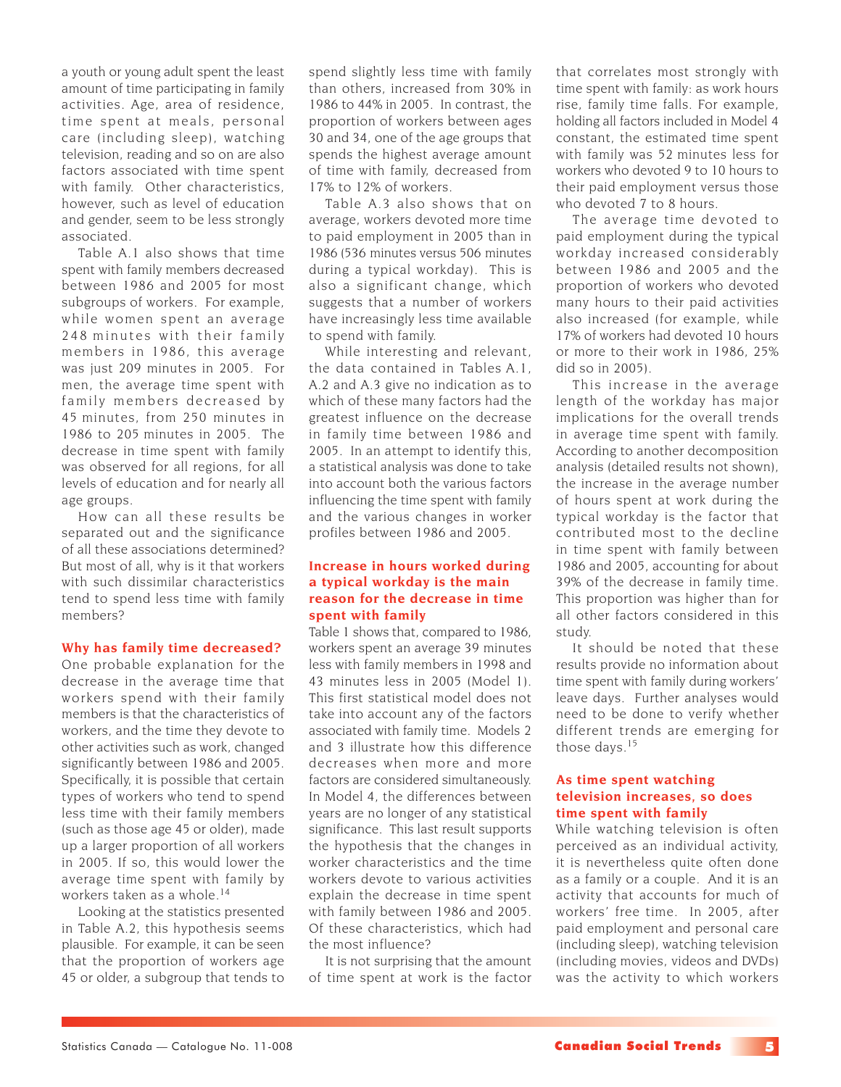a youth or young adult spent the least amount of time participating in family activities. Age, area of residence, time spent at meals, personal care (including sleep), watching television, reading and so on are also factors associated with time spent with family. Other characteristics, however, such as level of education and gender, seem to be less strongly associated.

Table A.1 also shows that time spent with family members decreased between 1986 and 2005 for most subgroups of workers. For example, while women spent an average 248 minutes with their family members in 1986, this average was just 209 minutes in 2005. For men, the average time spent with family members decreased by 45 minutes, from 250 minutes in 1986 to 205 minutes in 2005. The decrease in time spent with family was observed for all regions, for all levels of education and for nearly all age groups.

How can all these results be separated out and the significance of all these associations determined? But most of all, why is it that workers with such dissimilar characteristics tend to spend less time with family members?

### **Why has family time decreased?**

One probable explanation for the decrease in the average time that workers spend with their family members is that the characteristics of workers, and the time they devote to other activities such as work, changed significantly between 1986 and 2005. Specifically, it is possible that certain types of workers who tend to spend less time with their family members (such as those age 45 or older), made up a larger proportion of all workers in 2005. If so, this would lower the average time spent with family by workers taken as a whole.<sup>14</sup>

Looking at the statistics presented in Table A.2, this hypothesis seems plausible. For example, it can be seen that the proportion of workers age 45 or older, a subgroup that tends to spend slightly less time with family than others, increased from 30% in 1986 to 44% in 2005. In contrast, the proportion of workers between ages 30 and 34, one of the age groups that spends the highest average amount of time with family, decreased from 17% to 12% of workers.

Table A.3 also shows that on average, workers devoted more time to paid employment in 2005 than in 1986 (536 minutes versus 506 minutes during a typical workday). This is also a significant change, which suggests that a number of workers have increasingly less time available to spend with family.

While interesting and relevant, the data contained in Tables A.1, A.2 and A.3 give no indication as to which of these many factors had the greatest influence on the decrease in family time between 1986 and 2005. In an attempt to identify this, a statistical analysis was done to take into account both the various factors influencing the time spent with family and the various changes in worker profiles between 1986 and 2005.

## **Increase in hours worked during a typical workday is the main reason for the decrease in time spent with family**

Table 1 shows that, compared to 1986, workers spent an average 39 minutes less with family members in 1998 and 43 minutes less in 2005 (Model 1). This first statistical model does not take into account any of the factors associated with family time. Models 2 and 3 illustrate how this difference decreases when more and more factors are considered simultaneously. In Model 4, the differences between years are no longer of any statistical significance. This last result supports the hypothesis that the changes in worker characteristics and the time workers devote to various activities explain the decrease in time spent with family between 1986 and 2005. Of these characteristics, which had the most influence?

It is not surprising that the amount of time spent at work is the factor

that correlates most strongly with time spent with family: as work hours rise, family time falls. For example, holding all factors included in Model 4 constant, the estimated time spent with family was 52 minutes less for workers who devoted 9 to 10 hours to their paid employment versus those who devoted 7 to 8 hours.

The average time devoted to paid employment during the typical workday increased considerably between 1986 and 2005 and the proportion of workers who devoted many hours to their paid activities also increased (for example, while 17% of workers had devoted 10 hours or more to their work in 1986, 25% did so in 2005).

This increase in the average length of the workday has major implications for the overall trends in average time spent with family. According to another decomposition analysis (detailed results not shown), the increase in the average number of hours spent at work during the typical workday is the factor that contributed most to the decline in time spent with family between 1986 and 2005, accounting for about 39% of the decrease in family time. This proportion was higher than for all other factors considered in this study.

It should be noted that these results provide no information about time spent with family during workers' leave days. Further analyses would need to be done to verify whether different trends are emerging for those days.<sup>15</sup>

## **As time spent watching television increases, so does time spent with family**

While watching television is often perceived as an individual activity, it is nevertheless quite often done as a family or a couple. And it is an activity that accounts for much of workers' free time. In 2005, after paid employment and personal care (including sleep), watching television (including movies, videos and DVDs) was the activity to which workers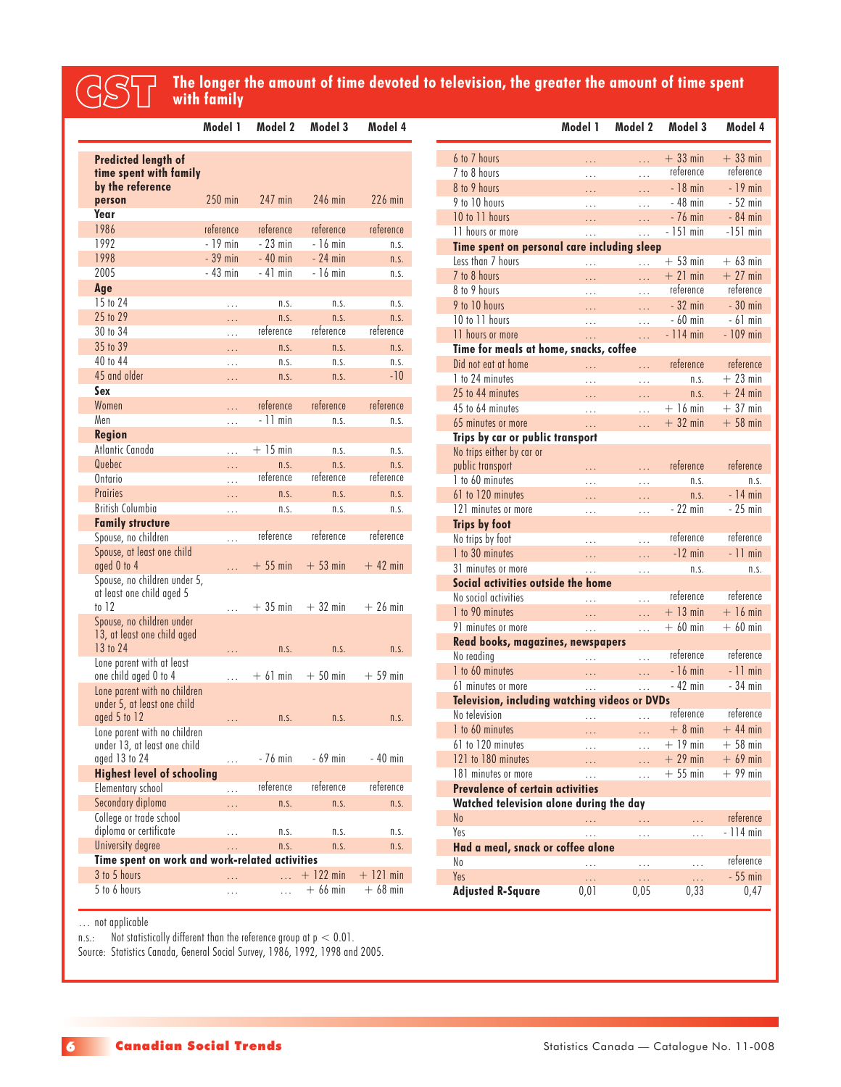# **The longer the amount of time devoted to television, the greater the amount of time spent**<br>
with family

P.

|                                                                             | Model 1   | Model 2   | Model 3     | Model 4     |
|-----------------------------------------------------------------------------|-----------|-----------|-------------|-------------|
| <b>Predicted length of</b><br>time spent with family<br>by the reference    |           |           |             |             |
| person                                                                      | $250$ min | 247 min   | 246 min     | $226$ min   |
| Year                                                                        |           |           |             |             |
| 1986                                                                        | reference | reference | reference   | reference   |
| 1992                                                                        | $-19$ min | $-23$ min | - 16 min    | n.S.        |
| 1998                                                                        | $-39$ min | $-40$ min | $-24$ min   | n.S.        |
| 2005                                                                        | - 43 min  | $-41$ min | $-16$ min   | n.S.        |
| Age                                                                         |           |           |             |             |
| 15 to 24                                                                    | $\cdots$  | n.S.      | n.S.        | n.S.        |
| 25 to 29                                                                    | .         | n.S.      | n.S.        | n.S.        |
| 30 to 34                                                                    | .         | reference | reference   | reference   |
| 35 to 39                                                                    | .         | n.S.      | n.S.        | n.S.        |
| 40 to 44                                                                    | .         | n.S.      | n.S.        | n.S.        |
| 45 and older                                                                | .         | n.S.      | n.S.        | $-10$       |
| Sex                                                                         |           |           |             |             |
| Women                                                                       | .         | reference | reference   | reference   |
| Men                                                                         | .         | - 11 min  | n.S.        | n.S.        |
| Region                                                                      |           |           |             |             |
| Atlantic Canada                                                             | .         | $+15$ min | n.s.        | n.s.        |
| Quebec                                                                      | .         | n.S.      | n.S.        | n.S.        |
| Ontario                                                                     | .         | reference | reference   | reference   |
| Prairies                                                                    | .         | n.S.      | n.S.        | n.S.        |
| <b>British Columbia</b>                                                     | .         | n.s.      | n.S.        | n.s.        |
| <b>Family structure</b>                                                     |           | reference | reference   | reference   |
| Spouse, no children                                                         | .         |           |             |             |
| Spouse, at least one child<br>aged 0 to 4                                   | .         | $+55$ min | $+53$ min   | $+42$ min   |
| Spouse, no children under 5,<br>at least one child aged 5<br>to $12$        | .         | $+35$ min | $+32$ min   | $+26$ min   |
| Spouse, no children under<br>13, at least one child aged                    |           |           |             |             |
| 13 to 24<br>Lone parent with at least                                       | .         | n.S.      | n.S.        | n.S.        |
| one child aged 0 to 4                                                       | .         | $+61$ min | $+50$ min   | $+59$ min   |
| Lone parent with no children<br>under 5, at least one child<br>aged 5 to 12 | .         | n.S.      | n.S.        | n.S.        |
| Lone parent with no children<br>under 13, at least one child                |           |           |             |             |
| aged 13 to 24                                                               | .         | - 76 min  | - 69 min    | - 40 min    |
| <b>Highest level of schooling</b>                                           |           |           |             |             |
| Elementary school                                                           | .         | reference | reference   | reference   |
| Secondary diploma                                                           | .         | n.S.      | n.S.        | n.S.        |
| College or trade school<br>diploma or certificate                           | .         | n.s.      | n.s.        | n.s.        |
| University degree                                                           | .         | n.S.      | n.S.        | n.S.        |
| Time spent on work and work-related activities                              |           |           |             |             |
| 3 to 5 hours                                                                | .         | .         | $+$ 122 min | $+$ 121 min |
| 5 to 6 hours                                                                | .         | $\cdots$  | $+66$ min   | $+68$ min   |

|                                                          | Model 1       | Model 2  | Model 3    | Model 4    |
|----------------------------------------------------------|---------------|----------|------------|------------|
| 6 to 7 hours                                             | .             | .        | $+33$ min  | $+33$ min  |
| 7 to 8 hours                                             | .             | $\cdots$ | reference  | reference  |
| 8 to 9 hours                                             | .             | .        | $-18$ min  | $-19$ min  |
| 9 to 10 hours                                            | .             | .        | - 48 min   | $-52$ min  |
| 10 to 11 hours                                           | .             | Ω,       | - 76 min   | $-84$ min  |
| 11 hours or more                                         | .             | .        | - 151 min  | $-151$ min |
| Time spent on personal care including sleep              |               |          |            |            |
| Less than 7 hours                                        | .             | .        | $+53$ min  | $+63$ min  |
| 7 to 8 hours                                             | .             | .        | $+21$ min  | $+27$ min  |
| 8 to 9 hours                                             | $\cdots$      | .        | reference  | reference  |
| 9 to 10 hours                                            | .             | .        | $-32$ min  | $-30$ min  |
| 10 to 11 hours                                           | .             | .        | - 60 min   | - 61 min   |
| 11 hours or more                                         | .             | .        | $-114$ min | $-109$ min |
| Time for meals at home, snacks, coffee                   |               |          |            |            |
| Did not eat at home                                      | .             | .        | reference  | reference  |
| 1 to 24 minutes                                          | .             | .        | n.S.       | $+23$ min  |
| 25 to 44 minutes                                         | $\cdots$      | .        | n.S.       | $+24$ min  |
| 45 to 64 minutes                                         | .             | $\cdots$ | $+16$ min  | $+37$ min  |
| 65 minutes or more                                       | .             | .        | $+32$ min  | $+58$ min  |
| Trips by car or public transport                         |               |          |            |            |
| No trips either by car or                                |               |          |            |            |
| public transport                                         | .             | .        | reference  | reference  |
| 1 to 60 minutes                                          | $\cdots$      | $\cdots$ | n.S.       | n.S.       |
| 61 to 120 minutes                                        | .             | .        | n.S.       | $-14$ min  |
| 121 minutes or more                                      | .             | .        | - 22 min   | - 25 min   |
| <b>Trips by foot</b>                                     |               |          | reference  | reference  |
| No trips by foot                                         | .             | .        |            |            |
| 1 to 30 minutes                                          | .             | .        | $-12$ min  | $-11$ min  |
| 31 minutes or more<br>Social activities outside the home |               | .        | n.S.       | n.S.       |
| No social activities                                     |               |          | reference  | reference  |
| 1 to 90 minutes                                          | $\cdots$      | .        | $+13$ min  | $+16$ min  |
| 91 minutes or more                                       | .             | .        | $+60$ min  | $+60$ min  |
| Read books, magazines, newspapers                        | .             | .        |            |            |
| No reading                                               |               | .        | reference  | reference  |
| 1 to 60 minutes                                          | .             | .        | $-16$ min  | $-11$ min  |
| 61 minutes or more                                       | .<br>$\cdots$ | .        | $-42$ min  | $-34$ min  |
| <b>Television, including watching videos or DVDs</b>     |               |          |            |            |
| No television                                            |               | .        | reference  | reference  |
| 1 to 60 minutes                                          | .             | .        | $+8$ min   | $+$ 44 min |
| 61 to 120 minutes                                        | .             | .        | $+19$ min  | $+58$ min  |
| 121 to 180 minutes                                       | .             | .        | $+29$ min  | $+69$ min  |
| 181 minutes or more                                      | .             | .        | $+55$ min  | $+99$ min  |
| <b>Prevalence of certain activities</b>                  |               |          |            |            |
| Watched television alone during the day                  |               |          |            |            |
| N <sub>o</sub>                                           | .             | .        | .          | reference  |
| Yes                                                      | .             | .        | .          | $-114$ min |
| Had a meal, snack or coffee alone                        |               |          |            |            |
| No                                                       | .             | .        | .          | reference  |
| Yes                                                      | .             | .        | .          | $-55$ min  |
| <b>Adjusted R-Square</b>                                 | 0,01          | 0,05     | 0,33       | 0,47       |

… not applicable

n.s.: Not statistically different than the reference group at  $p < 0.01$ .

Source: Statistics Canada, General Social Survey, 1986, 1992, 1998 and 2005.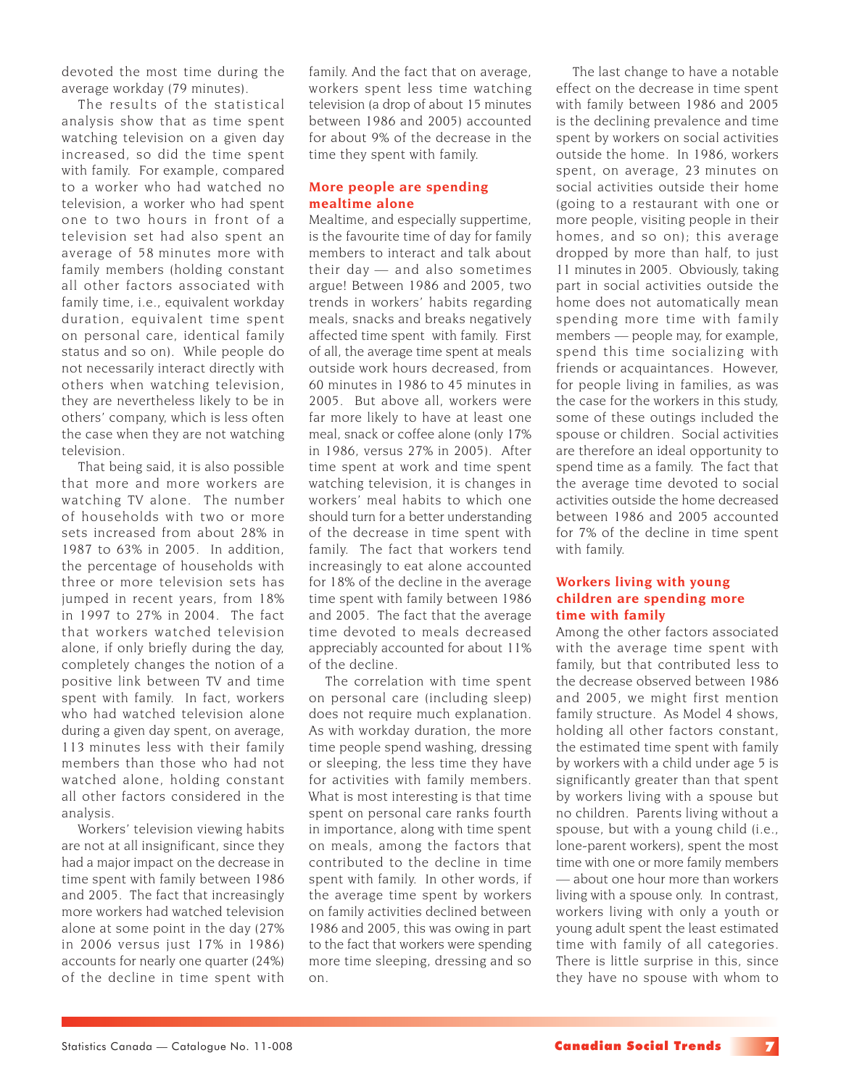devoted the most time during the average workday (79 minutes).

The results of the statistical analysis show that as time spent watching television on a given day increased, so did the time spent with family. For example, compared to a worker who had watched no television, a worker who had spent one to two hours in front of a television set had also spent an average of 58 minutes more with family members (holding constant all other factors associated with family time, i.e., equivalent workday duration, equivalent time spent on personal care, identical family status and so on). While people do not necessarily interact directly with others when watching television, they are nevertheless likely to be in others' company, which is less often the case when they are not watching television.

That being said, it is also possible that more and more workers are watching TV alone. The number of households with two or more sets increased from about 28% in 1987 to 63% in 2005. In addition, the percentage of households with three or more television sets has jumped in recent years, from 18% in 1997 to 27% in 2004. The fact that workers watched television alone, if only briefly during the day, completely changes the notion of a positive link between TV and time spent with family. In fact, workers who had watched television alone during a given day spent, on average, 113 minutes less with their family members than those who had not watched alone, holding constant all other factors considered in the analysis.

Workers' television viewing habits are not at all insignificant, since they had a major impact on the decrease in time spent with family between 1986 and 2005. The fact that increasingly more workers had watched television alone at some point in the day (27% in 2006 versus just 17% in 1986) accounts for nearly one quarter (24%) of the decline in time spent with

family. And the fact that on average, workers spent less time watching television (a drop of about 15 minutes between 1986 and 2005) accounted for about 9% of the decrease in the time they spent with family.

## **More people are spending mealtime alone**

Mealtime, and especially suppertime, is the favourite time of day for family members to interact and talk about their day — and also sometimes argue! Between 1986 and 2005, two trends in workers' habits regarding meals, snacks and breaks negatively affected time spent with family. First of all, the average time spent at meals outside work hours decreased, from 60 minutes in 1986 to 45 minutes in 2005. But above all, workers were far more likely to have at least one meal, snack or coffee alone (only 17% in 1986, versus 27% in 2005). After time spent at work and time spent watching television, it is changes in workers' meal habits to which one should turn for a better understanding of the decrease in time spent with family. The fact that workers tend increasingly to eat alone accounted for 18% of the decline in the average time spent with family between 1986 and 2005. The fact that the average time devoted to meals decreased appreciably accounted for about 11% of the decline.

The correlation with time spent on personal care (including sleep) does not require much explanation. As with workday duration, the more time people spend washing, dressing or sleeping, the less time they have for activities with family members. What is most interesting is that time spent on personal care ranks fourth in importance, along with time spent on meals, among the factors that contributed to the decline in time spent with family. In other words, if the average time spent by workers on family activities declined between 1986 and 2005, this was owing in part to the fact that workers were spending more time sleeping, dressing and so on.

The last change to have a notable effect on the decrease in time spent with family between 1986 and 2005 is the declining prevalence and time spent by workers on social activities outside the home. In 1986, workers spent, on average, 23 minutes on social activities outside their home (going to a restaurant with one or more people, visiting people in their homes, and so on); this average dropped by more than half, to just 11 minutes in 2005. Obviously, taking part in social activities outside the home does not automatically mean spending more time with family members — people may, for example, spend this time socializing with friends or acquaintances. However, for people living in families, as was the case for the workers in this study, some of these outings included the spouse or children. Social activities are therefore an ideal opportunity to spend time as a family. The fact that the average time devoted to social activities outside the home decreased between 1986 and 2005 accounted for 7% of the decline in time spent with family.

## **Workers living with young children are spending more time with family**

Among the other factors associated with the average time spent with family, but that contributed less to the decrease observed between 1986 and 2005, we might first mention family structure. As Model 4 shows, holding all other factors constant, the estimated time spent with family by workers with a child under age 5 is significantly greater than that spent by workers living with a spouse but no children. Parents living without a spouse, but with a young child (i.e., lone-parent workers), spent the most time with one or more family members — about one hour more than workers living with a spouse only. In contrast, workers living with only a youth or young adult spent the least estimated time with family of all categories. There is little surprise in this, since they have no spouse with whom to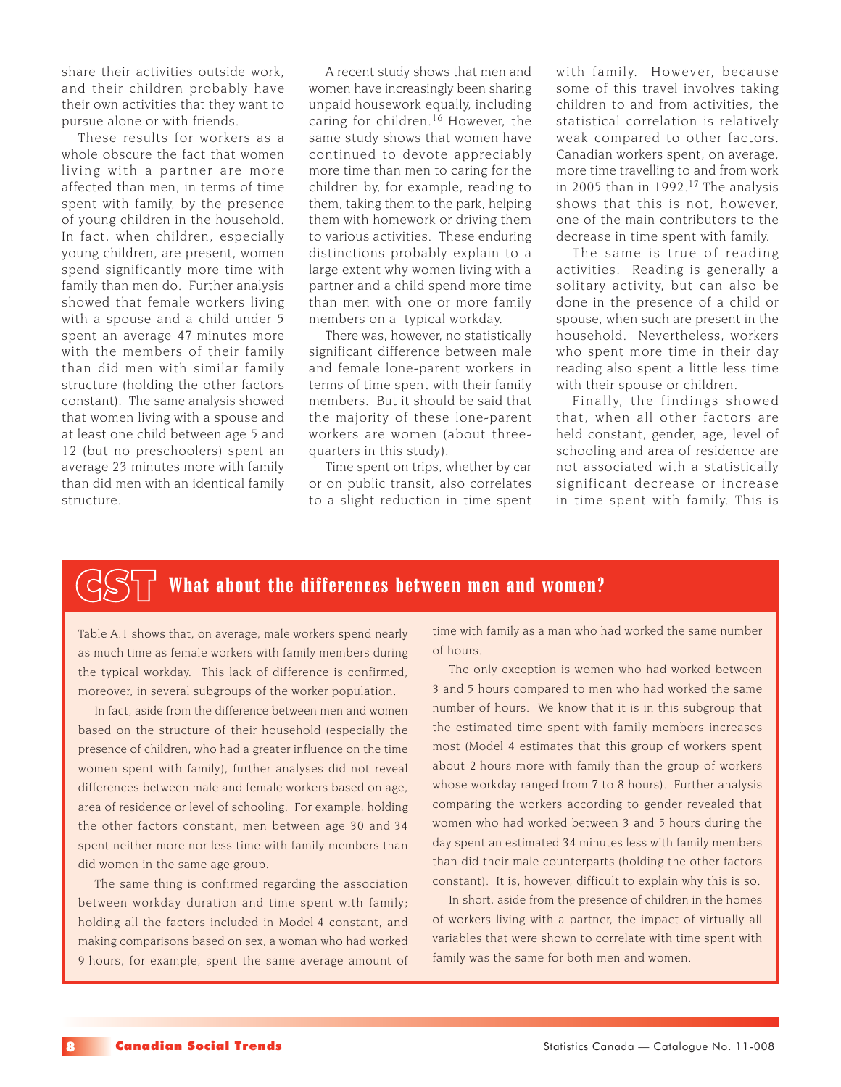share their activities outside work, and their children probably have their own activities that they want to pursue alone or with friends.

These results for workers as a whole obscure the fact that women living with a partner are more affected than men, in terms of time spent with family, by the presence of young children in the household. In fact, when children, especially young children, are present, women spend significantly more time with family than men do. Further analysis showed that female workers living with a spouse and a child under 5 spent an average 47 minutes more with the members of their family than did men with similar family structure (holding the other factors constant). The same analysis showed that women living with a spouse and at least one child between age 5 and 12 (but no preschoolers) spent an average 23 minutes more with family than did men with an identical family structure.

A recent study shows that men and women have increasingly been sharing unpaid housework equally, including caring for children.16 However, the same study shows that women have continued to devote appreciably more time than men to caring for the children by, for example, reading to them, taking them to the park, helping them with homework or driving them to various activities. These enduring distinctions probably explain to a large extent why women living with a partner and a child spend more time than men with one or more family members on a typical workday.

There was, however, no statistically significant difference between male and female lone-parent workers in terms of time spent with their family members. But it should be said that the majority of these lone-parent workers are women (about threequarters in this study).

Time spent on trips, whether by car or on public transit, also correlates to a slight reduction in time spent

with family. However, because some of this travel involves taking children to and from activities, the statistical correlation is relatively weak compared to other factors. Canadian workers spent, on average, more time travelling to and from work in 2005 than in 1992.<sup>17</sup> The analysis shows that this is not, however, one of the main contributors to the decrease in time spent with family.

The same is true of reading activities. Reading is generally a solitary activity, but can also be done in the presence of a child or spouse, when such are present in the household. Nevertheless, workers who spent more time in their day reading also spent a little less time with their spouse or children.

Finally, the findings showed that, when all other factors are held constant, gender, age, level of schooling and area of residence are not associated with a statistically significant decrease or increase in time spent with family. This is

## What about the differences between men and women?

Table A.1 shows that, on average, male workers spend nearly as much time as female workers with family members during the typical workday. This lack of difference is confirmed, moreover, in several subgroups of the worker population.

In fact, aside from the difference between men and women based on the structure of their household (especially the presence of children, who had a greater influence on the time women spent with family), further analyses did not reveal differences between male and female workers based on age, area of residence or level of schooling. For example, holding the other factors constant, men between age 30 and 34 spent neither more nor less time with family members than did women in the same age group.

The same thing is confirmed regarding the association between workday duration and time spent with family; holding all the factors included in Model 4 constant, and making comparisons based on sex, a woman who had worked 9 hours, for example, spent the same average amount of time with family as a man who had worked the same number of hours.

The only exception is women who had worked between 3 and 5 hours compared to men who had worked the same number of hours. We know that it is in this subgroup that the estimated time spent with family members increases most (Model 4 estimates that this group of workers spent about 2 hours more with family than the group of workers whose workday ranged from 7 to 8 hours). Further analysis comparing the workers according to gender revealed that women who had worked between 3 and 5 hours during the day spent an estimated 34 minutes less with family members than did their male counterparts (holding the other factors constant). It is, however, difficult to explain why this is so.

In short, aside from the presence of children in the homes of workers living with a partner, the impact of virtually all variables that were shown to correlate with time spent with family was the same for both men and women.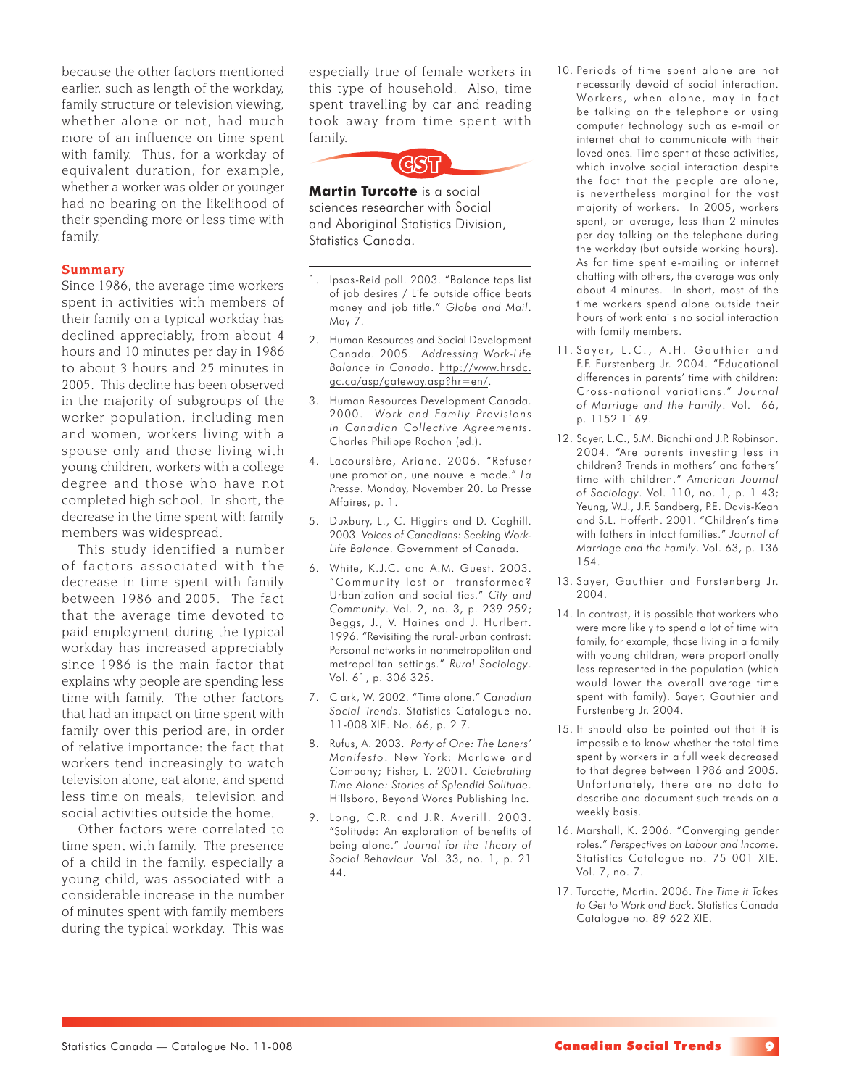because the other factors mentioned earlier, such as length of the workday, family structure or television viewing, whether alone or not, had much more of an influence on time spent with family. Thus, for a workday of equivalent duration, for example, whether a worker was older or younger had no bearing on the likelihood of their spending more or less time with family.

### **Summary**

Since 1986, the average time workers spent in activities with members of their family on a typical workday has declined appreciably, from about 4 hours and 10 minutes per day in 1986 to about 3 hours and 25 minutes in 2005. This decline has been observed in the majority of subgroups of the worker population, including men and women, workers living with a spouse only and those living with young children, workers with a college degree and those who have not completed high school. In short, the decrease in the time spent with family members was widespread.

This study identified a number of factors associated with the decrease in time spent with family between 1986 and 2005. The fact that the average time devoted to paid employment during the typical workday has increased appreciably since 1986 is the main factor that explains why people are spending less time with family. The other factors that had an impact on time spent with family over this period are, in order of relative importance: the fact that workers tend increasingly to watch television alone, eat alone, and spend less time on meals, television and social activities outside the home.

Other factors were correlated to time spent with family. The presence of a child in the family, especially a young child, was associated with a considerable increase in the number of minutes spent with family members during the typical workday. This was

especially true of female workers in this type of household. Also, time spent travelling by car and reading took away from time spent with family.

CST

**Martin Turcotte** is a social sciences researcher with Social and Aboriginal Statistics Division, Statistics Canada.

- 1. Ipsos-Reid poll. 2003. "Balance tops list of job desires / Life outside office beats money and job title." *Globe and Mail*. May 7.
- 2. Human Resources and Social Development Canada. 2005. *Addressing Work-Life Balance in Canada*. http://www.hrsdc. gc.ca/asp/gateway.asp?hr=en/.
- 3. Human Resources Development Canada. 2000. *Work and Family Provisions in Canadian Collective Agreements*. Charles Philippe Rochon (ed.).
- 4. Lacoursière, Ariane. 2006. "Refuser une promotion, une nouvelle mode." *La Presse*. Monday, November 20. La Presse Affaires, p. 1.
- 5. Duxbury, L., C. Higgins and D. Coghill. 2003. *Voices of Canadians: Seeking Work-Life Balance*. Government of Canada.
- 6. White, K.J.C. and A.M. Guest. 2003. "Community lost or transformed? Urbanization and social ties." *City and Community*. Vol. 2, no. 3, p. 239 259; Beggs, J., V. Haines and J. Hurlbert. 1996. "Revisiting the rural-urban contrast: Personal networks in nonmetropolitan and metropolitan settings." *Rural Sociology*. Vol. 61, p. 306 325.
- 7. Clark, W. 2002. "Time alone." *Canadian Social Trends*. Statistics Catalogue no. 11-008 XIE. No. 66, p. 2 7.
- 8. Rufus, A. 2003. *Party of One: The Loners' Manifesto*. New York: Marlowe and Company; Fisher, L. 2001. *Celebrating Time Alone: Stories of Splendid Solitude*. Hillsboro, Beyond Words Publishing Inc.
- 9. Long, C.R. and J.R. Averill. 2003. "Solitude: An exploration of benefits of being alone." *Journal for the Theory of Social Behaviour*. Vol. 33, no. 1, p. 21 44.
- 10. Periods of time spent alone are not necessarily devoid of social interaction. Workers, when alone, may in fact be talking on the telephone or using computer technology such as e-mail or internet chat to communicate with their loved ones. Time spent at these activities, which involve social interaction despite the fact that the people are alone, is nevertheless marginal for the vast majority of workers. In 2005, workers spent, on average, less than 2 minutes per day talking on the telephone during the workday (but outside working hours). As for time spent e-mailing or internet chatting with others, the average was only about 4 minutes. In short, most of the time workers spend alone outside their hours of work entails no social interaction with family members.
- 11. Sayer, L.C., A.H. Gauthier and F.F. Furstenberg Jr. 2004. "Educational differences in parents' time with children: Cross-national variations." *Journal of Marriage and the Family*. Vol. 66, p. 1152 1169.
- 12. Sayer, L.C., S.M. Bianchi and J.P. Robinson. 2004. "Are parents investing less in children? Trends in mothers' and fathers' time with children." *American Journal of Sociology*. Vol. 110, no. 1, p. 1 43; Yeung, W.J., J.F. Sandberg, P.E. Davis-Kean and S.L. Hofferth. 2001. "Children's time with fathers in intact families." *Journal of Marriage and the Family*. Vol. 63, p. 136 154.
- 13. Sayer, Gauthier and Furstenberg Jr. 2004.
- 14. In contrast, it is possible that workers who were more likely to spend a lot of time with family, for example, those living in a family with young children, were proportionally less represented in the population (which would lower the overall average time spent with family). Sayer, Gauthier and Furstenberg Jr. 2004.
- 15. It should also be pointed out that it is impossible to know whether the total time spent by workers in a full week decreased to that degree between 1986 and 2005. Unfortunately, there are no data to describe and document such trends on a weekly basis.
- 16. Marshall, K. 2006. "Converging gender roles." *Perspectives on Labour and Income*. Statistics Catalogue no. 75 001 XIE. Vol. 7, no. 7.
- 17. Turcotte, Martin. 2006. *The Time it Takes to Get to Work and Back*. Statistics Canada Catalogue no. 89 622 XIE.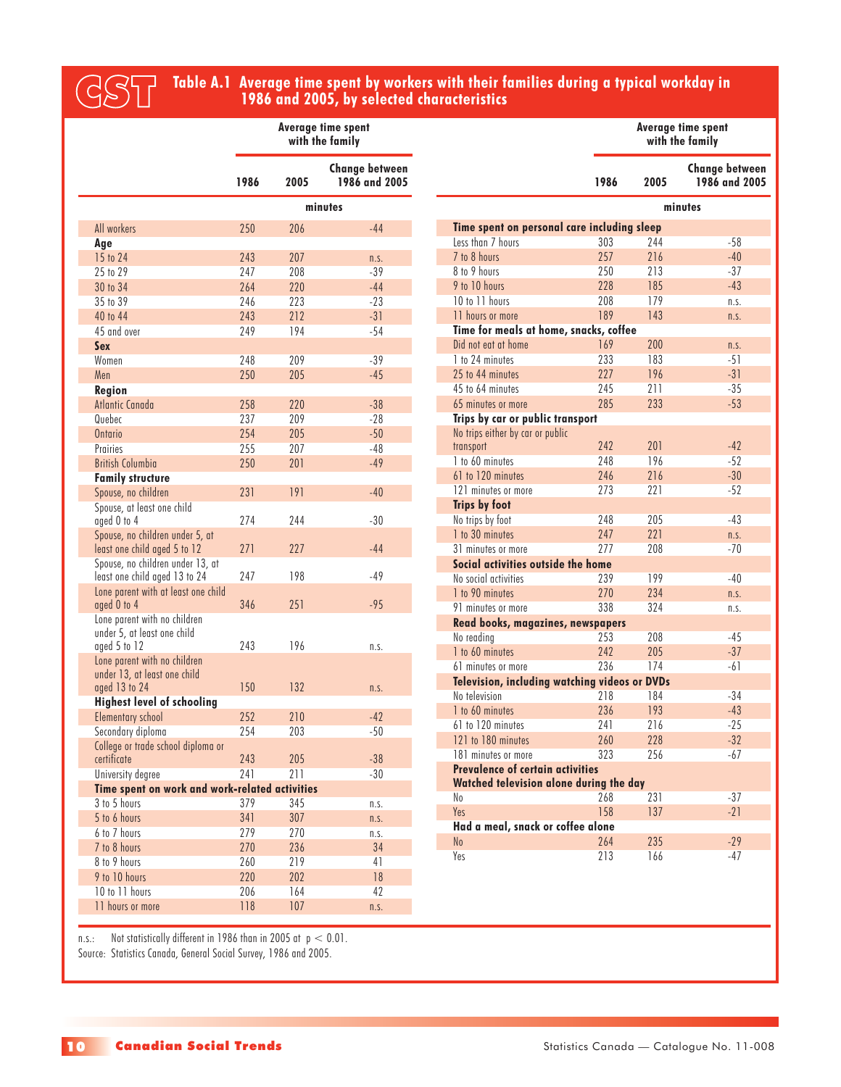# **Table A.1 Average time spent by workers with their families during a typical workday in** CST **1986 and 2005, by selected characteristics**

P.

 $\mathcal{L}_{\mathcal{A}}$ 

 $\mathcal{L}_{\mathcal{A}}$ 

 $\mathcal{L}_{\mathcal{A}}$ 

|                                                                                                             | <b>Average time spent</b><br>with the family |      |                                        |  |
|-------------------------------------------------------------------------------------------------------------|----------------------------------------------|------|----------------------------------------|--|
|                                                                                                             | 1986                                         | 2005 | <b>Change between</b><br>1986 and 2005 |  |
|                                                                                                             |                                              |      | minutes                                |  |
| All workers                                                                                                 | 250                                          | 206  | $-44$                                  |  |
| Age                                                                                                         |                                              |      |                                        |  |
| 15 to 24                                                                                                    | 243                                          | 207  | n.S.                                   |  |
| 25 to 29                                                                                                    | 247                                          | 208  | $-39$                                  |  |
| 30 to 34                                                                                                    | 264                                          | 220  | $-44$                                  |  |
| 35 to 39                                                                                                    | 246                                          | 223  | $-23$                                  |  |
| 40 to 44                                                                                                    | 243                                          | 212  | $-31$                                  |  |
| 45 and over                                                                                                 | 249                                          | 194  | $-54$                                  |  |
| <b>Sex</b>                                                                                                  |                                              |      |                                        |  |
| Women                                                                                                       | 248                                          | 209  | -39                                    |  |
| Men                                                                                                         | 250                                          | 205  | $-45$                                  |  |
| Region                                                                                                      |                                              |      |                                        |  |
| Atlantic Canada                                                                                             | 258                                          | 220  | $-38$                                  |  |
| Quebec                                                                                                      | 237                                          | 209  | $-28$                                  |  |
| Ontario                                                                                                     | 254                                          | 205  | $-50$                                  |  |
| Prairies                                                                                                    | 255                                          | 207  | $-48$                                  |  |
| <b>British Columbia</b>                                                                                     | 250                                          | 201  | $-49$                                  |  |
| <b>Family structure</b>                                                                                     |                                              |      |                                        |  |
| Spouse, no children                                                                                         | 231                                          | 191  | $-40$                                  |  |
| Spouse, at least one child<br>aged 0 to 4                                                                   | 274                                          | 244  | $-30$                                  |  |
| Spouse, no children under 5, at<br>least one child aged 5 to 12                                             | 271                                          | 227  | $-44$                                  |  |
| Spouse, no children under 13, at<br>least one child aged 13 to 24                                           | 247                                          | 198  | $-49$                                  |  |
| Lone parent with at least one child<br>aged 0 to 4                                                          | 346                                          | 251  | $-95$                                  |  |
| Lone parent with no children<br>under 5, at least one child<br>aged 5 to 12<br>Lone parent with no children | 243                                          | 196  | n.S.                                   |  |
| under 13, at least one child<br>aged 13 to 24                                                               | 150                                          | 132  | n.S.                                   |  |
| <b>Highest level of schooling</b>                                                                           |                                              |      |                                        |  |
| <b>Elementary school</b>                                                                                    | 252                                          | 210  | $-42$                                  |  |
| Secondary diploma                                                                                           | 254                                          | 203  | $-50$                                  |  |
| College or trade school diploma or<br>certificate                                                           | 243                                          | 205  | $-38$                                  |  |
| University degree                                                                                           | 241                                          | 211  | $-30$                                  |  |
| Time spent on work and work-related activities                                                              |                                              |      |                                        |  |
| 3 to 5 hours                                                                                                | 379                                          | 345  | n.s.                                   |  |
| 5 to 6 hours                                                                                                | 341                                          | 307  | n.S.                                   |  |
| 6 to 7 hours                                                                                                | 279                                          | 270  | n.s.                                   |  |
| 7 to 8 hours                                                                                                | 270                                          | 236  | 34                                     |  |
| 8 to 9 hours                                                                                                | 260                                          | 219  | 41                                     |  |
| 9 to 10 hours                                                                                               | 220                                          | 202  | 18                                     |  |
| 10 to 11 hours                                                                                              | 206                                          | 164  | 42                                     |  |
| 11 hours or more                                                                                            | 118                                          | 107  | n.S.                                   |  |
|                                                                                                             |                                              |      |                                        |  |

|                                                                                    |      |      | <b>Average time spent</b><br>with the family |
|------------------------------------------------------------------------------------|------|------|----------------------------------------------|
|                                                                                    | 1986 | 2005 | <b>Change between</b><br>1986 and 2005       |
|                                                                                    |      |      | minutes                                      |
| Time spent on personal care including sleep                                        |      |      |                                              |
| Less than 7 hours                                                                  | 303  | 244  | -58                                          |
| 7 to 8 hours                                                                       | 257  | 216  | $-40$                                        |
| 8 to 9 hours                                                                       | 250  | 213  | $-37$                                        |
| 9 to 10 hours                                                                      | 228  | 185  | $-43$                                        |
| 10 to 11 hours                                                                     | 208  | 179  | n.S.                                         |
| 11 hours or more                                                                   | 189  | 143  | n.S.                                         |
| Time for meals at home, snacks, coffee                                             |      |      |                                              |
| Did not eat at home                                                                | 169  | 200  | n.S.                                         |
| 1 to 24 minutes                                                                    | 233  | 183  | $-51$                                        |
| 25 to 44 minutes                                                                   | 227  | 196  | $-31$                                        |
| 45 to 64 minutes                                                                   | 245  | 211  | $-35$                                        |
| 65 minutes or more                                                                 | 285  | 233  | $-53$                                        |
| Trips by car or public transport                                                   |      |      |                                              |
| No trips either by car or public                                                   |      |      |                                              |
| transport                                                                          | 242  | 201  | $-42$                                        |
| 1 to 60 minutes                                                                    | 248  | 196  | $-52$                                        |
| 61 to 120 minutes                                                                  | 246  | 216  | $-30$                                        |
| 121 minutes or more                                                                | 273  | 221  | $-52$                                        |
| <b>Trips by foot</b>                                                               |      |      |                                              |
| No trips by foot                                                                   | 248  | 205  | $-43$                                        |
| 1 to 30 minutes                                                                    | 247  | 221  | n.S.                                         |
| 31 minutes or more                                                                 | 277  | 208  | $-70$                                        |
| Social activities outside the home                                                 |      |      |                                              |
| No social activities                                                               | 239  | 199  | $-40$                                        |
| 1 to 90 minutes                                                                    | 270  | 234  | n.S.                                         |
| 91 minutes or more                                                                 | 338  | 324  | n.S.                                         |
| Read books, magazines, newspapers                                                  |      |      |                                              |
| No reading                                                                         | 253  | 208  | $-45$                                        |
| 1 to 60 minutes                                                                    | 242  | 205  | $-37$                                        |
| 61 minutes or more                                                                 | 236  | 174  | $-61$                                        |
| Television, including watching videos or DVDs                                      |      |      |                                              |
| No television                                                                      | 218  | 184  | -34                                          |
| 1 to 60 minutes                                                                    | 236  | 193  | $-43$                                        |
| 61 to 120 minutes                                                                  | 241  | 216  | $-25$                                        |
| 121 to 180 minutes                                                                 | 260  | 228  | $-32$                                        |
| 181 minutes or more                                                                | 323  | 256  | $-67$                                        |
| <b>Prevalence of certain activities</b><br>Watched television alone during the day |      |      |                                              |
| No                                                                                 | 268  | 231  | $-37$                                        |
| Yes                                                                                | 158  | 137  | $-21$                                        |
| Had a meal, snack or coffee alone                                                  |      |      |                                              |
| No                                                                                 | 264  | 235  | $-29$                                        |
| Yes                                                                                | 213  | 166  | -47                                          |

n.s.: Not statistically different in 1986 than in 2005 at p < 0.01.

Source: Statistics Canada, General Social Survey, 1986 and 2005.